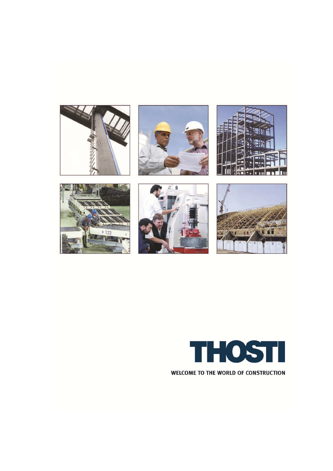













WELCOME TO THE WORLD OF CONSTRUCTION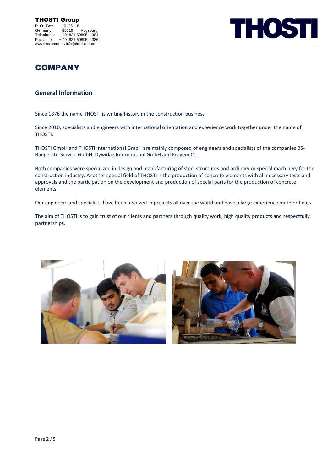

# **COMPANY**

# **General Information**

Since 1876 the name THOSTI is writing history in the construction business.

Since 2010, specialists and engineers with international orientation and experience work together under the name of THOSTI.

THOSTI GmbH and THOSTI International GmbH are mainly composed of engineers and specialists of the companies BS-Baugeräte-Service GmbH, Dywidag International GmbH and Krayem Co.

Both companies were specialized in design and manufacturing of steel structures and ordinary or special machinery for the construction industry. Another special field of THOSTI is the production of concrete elements with all necessary tests and approvals and the participation on the development and production of special parts for the production of concrete elements.

Our engineers and specialists have been involved in projects all over the world and have a large experience on their fields.

The aim of THOSTI is to gain trust of our clients and partners through quality work, high quality products and respectfully partnerships.



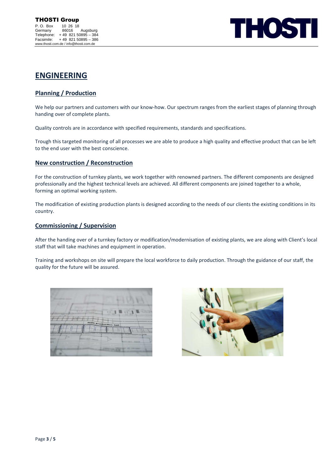

# **ENGINEERING**

## **Planning / Production**

We help our partners and customers with our know-how. Our spectrum ranges from the earliest stages of planning through handing over of complete plants.

Quality controls are in accordance with specified requirements, standards and specifications.

Trough this targeted monitoring of all processes we are able to produce a high quality and effective product that can be left to the end user with the best conscience.

### **New construction / Reconstruction**

For the construction of turnkey plants, we work together with renowned partners. The different components are designed professionally and the highest technical levels are achieved. All different components are joined together to a whole, forming an optimal working system.

The modification of existing production plants is designed according to the needs of our clients the existing conditions in its country.

#### **Commissioning / Supervision**

After the handing over of a turnkey factory or modification/modernisation of existing plants, we are along with Client's local staff that will take machines and equipment in operation.

Training and workshops on site will prepare the local workforce to daily production. Through the guidance of our staff, the quality for the future will be assured.

| <b>Convergence</b>                  |                      |
|-------------------------------------|----------------------|
| <b>ASK</b><br><b>ALCOHOL:</b><br>40 | main production hall |
|                                     | <b>STATISTICS</b>    |

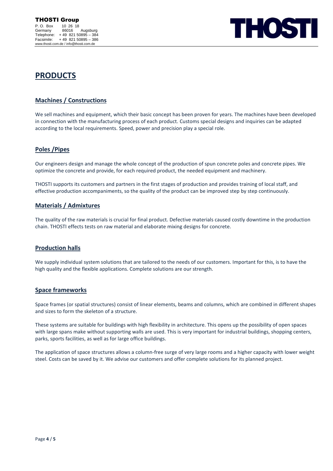

# **PRODUCTS**

# **Machines / Constructions**

We sell machines and equipment, which their basic concept has been proven for years. The machines have been developed in connection with the manufacturing process of each product. Customs special designs and inquiries can be adapted according to the local requirements. Speed, power and precision play a special role.

## **Poles /Pipes**

Our engineers design and manage the whole concept of the production of spun concrete poles and concrete pipes. We optimize the concrete and provide, for each required product, the needed equipment and machinery.

THOSTI supports its customers and partners in the first stages of production and provides training of local staff, and effective production accompaniments, so the quality of the product can be improved step by step continuously.

### **Materials / Admixtures**

The quality of the raw materials is crucial for final product. Defective materials caused costly downtime in the production chain. THOSTI effects tests on raw material and elaborate mixing designs for concrete.

### **Production halls**

We supply individual system solutions that are tailored to the needs of our customers. Important for this, is to have the high quality and the flexible applications. Complete solutions are our strength.

### **Space frameworks**

Space frames (or spatial structures) consist of linear elements, beams and columns, which are combined in different shapes and sizes to form the skeleton of a structure.

These systems are suitable for buildings with high flexibility in architecture. This opens up the possibility of open spaces with large spans make without supporting walls are used. This is very important for industrial buildings, shopping centers, parks, sports facilities, as well as for large office buildings.

The application of space structures allows a column-free surge of very large rooms and a higher capacity with lower weight steel. Costs can be saved by it. We advise our customers and offer complete solutions for its planned project.